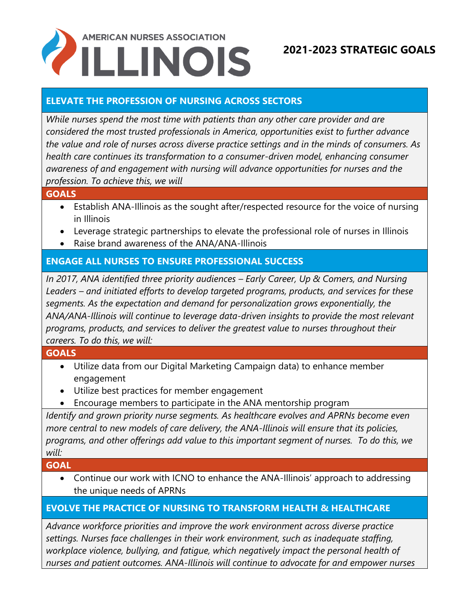# **AMERICAN NURSES ASSOCIATION ILLINOIS**

# **2021-2023 STRATEGIC GOALS**

## **ELEVATE THE PROFESSION OF NURSING ACROSS SECTORS**

*While nurses spend the most time with patients than any other care provider and are considered the most trusted professionals in America, opportunities exist to further advance the value and role of nurses across diverse practice settings and in the minds of consumers. As health care continues its transformation to a consumer-driven model, enhancing consumer awareness of and engagement with nursing will advance opportunities for nurses and the profession. To achieve this, we will*

#### **GOALS**

- Establish ANA-Illinois as the sought after/respected resource for the voice of nursing in Illinois
- Leverage strategic partnerships to elevate the professional role of nurses in Illinois
- Raise brand awareness of the ANA/ANA-Illinois

## **ENGAGE ALL NURSES TO ENSURE PROFESSIONAL SUCCESS**

*In 2017, ANA identified three priority audiences – Early Career, Up & Comers, and Nursing Leaders – and initiated efforts to develop targeted programs, products, and services for these segments. As the expectation and demand for personalization grows exponentially, the ANA/ANA-Illinois will continue to leverage data-driven insights to provide the most relevant programs, products, and services to deliver the greatest value to nurses throughout their careers. To do this, we will:*

#### **GOALS**

- Utilize data from our Digital Marketing Campaign data) to enhance member engagement
- Utilize best practices for member engagement
- Encourage members to participate in the ANA mentorship program

*Identify and grown priority nurse segments. As healthcare evolves and APRNs become even more central to new models of care delivery, the ANA-Illinois will ensure that its policies, programs, and other offerings add value to this important segment of nurses. To do this, we will:*

#### **GOAL**

• Continue our work with ICNO to enhance the ANA-Illinois' approach to addressing the unique needs of APRNs

### **EVOLVE THE PRACTICE OF NURSING TO TRANSFORM HEALTH & HEALTHCARE**

*Advance workforce priorities and improve the work environment across diverse practice settings. Nurses face challenges in their work environment, such as inadequate staffing, workplace violence, bullying, and fatigue, which negatively impact the personal health of nurses and patient outcomes. ANA-Illinois will continue to advocate for and empower nurses*